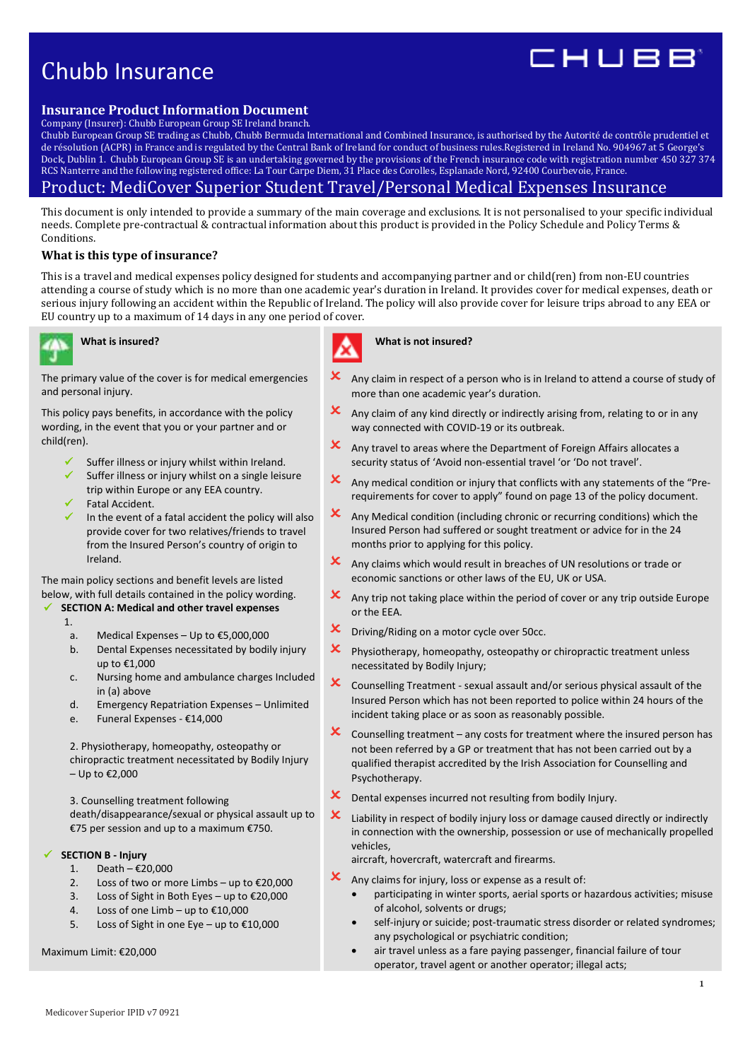# Chubb Insurance



## **Insurance Product Information Document**

Company (Insurer): Chubb European Group SE Ireland branch.

Chubb European Group SE trading as Chubb, Chubb Bermuda International and Combined Insurance, is authorised by the Autorité de contrôle prudentiel et de résolution (ACPR) in France and is regulated by the Central Bank of Ireland for conduct of business rules.Registered in Ireland No. 904967 at 5 George's Dock, Dublin 1. Chubb European Group SE is an undertaking governed by the provisions of the French insurance code with registration number 450 327 374 RCS Nanterre and the following registered office: La Tour Carpe Diem, 31 Place des Corolles, Esplanade Nord, 92400 Courbevoie, France.

## Product: MediCover Superior Student Travel/Personal Medical Expenses Insurance

This document is only intended to provide a summary of the main coverage and exclusions. It is not personalised to your specific individual needs. Complete pre-contractual & contractual information about this product is provided in the Policy Schedule and Policy Terms & Conditions.

## **What is this type of insurance?**

This is a travel and medical expenses policy designed for students and accompanying partner and or child(ren) from non-EU countries attending a course of study which is no more than one academic year's duration in Ireland. It provides cover for medical expenses, death or serious injury following an accident within the Republic of Ireland. The policy will also provide cover for leisure trips abroad to any EEA or EU country up to a maximum of 14 days in any one period of cover.



## **What is insured?**



The primary value of the cover is for medical emergencies and personal injury.

This policy pays benefits, in accordance with the policy wording, in the event that you or your partner and or child(ren).

- Suffer illness or injury whilst within Ireland.
- Suffer illness or injury whilst on a single leisure trip within Europe or any EEA country. Fatal Accident.
- In the event of a fatal accident the policy will also provide cover for two relatives/friends to travel from the Insured Person's country of origin to Ireland.

The main policy sections and benefit levels are listed below, with full details contained in the policy wording.

## **SECTION A: Medical and other travel expenses**

1.

- a. Medical Expenses Up to €5,000,000
- b. Dental Expenses necessitated by bodily injury up to €1,000
- c. Nursing home and ambulance charges Included in (a) above
- d. Emergency Repatriation Expenses Unlimited
- e. Funeral Expenses €14,000

2. Physiotherapy, homeopathy, osteopathy or chiropractic treatment necessitated by Bodily Injury – Up to €2,000

3. Counselling treatment following

death/disappearance/sexual or physical assault up to €75 per session and up to a maximum €750.

## **SECTION B - Injury**

- 1. Death €20,000
- 2. Loss of two or more Limbs up to €20,000
- 3. Loss of Sight in Both Eyes up to €20,000
- 4. Loss of one Limb up to €10,000
- 5. Loss of Sight in one Eye up to €10,000

Maximum Limit: €20,000

## **What is not insured?**

- Any claim in respect of a person who is in Ireland to attend a course of study of more than one academic year's duration.
- $\mathsf{\times}\;$  Any claim of any kind directly or indirectly arising from, relating to or in any way connected with COVID-19 or its outbreak.
- $\mathbf x$  Any travel to areas where the Department of Foreign Affairs allocates a security status of 'Avoid non-essential travel 'or 'Do not travel'.
- $\mathbf x$  Any medical condition or injury that conflicts with any statements of the "Prerequirements for cover to apply" found on page 13 of the policy document.
- $\mathbf{\times}$  Any Medical condition (including chronic or recurring conditions) which the Insured Person had suffered or sought treatment or advice for in the 24 months prior to applying for this policy.
- $\mathbf{\times}$  Any claims which would result in breaches of UN resolutions or trade or economic sanctions or other laws of the EU, UK or USA.
- $\mathbf x$  Any trip not taking place within the period of cover or any trip outside Europe or the EEA.
- $\mathsf{\times}\quad$  Driving/Riding on a motor cycle over 50cc.
- $\mathbf x$  Physiotherapy, homeopathy, osteopathy or chiropractic treatment unless necessitated by Bodily Injury;
- $\mathsf{\times}\hspace{1mm}$  Counselling Treatment sexual assault and/or serious physical assault of the Insured Person which has not been reported to police within 24 hours of the incident taking place or as soon as reasonably possible.
- $\mathsf{\times}$  Counselling treatment any costs for treatment where the insured person has not been referred by a GP or treatment that has not been carried out by a qualified therapist accredited by the Irish Association for Counselling and Psychotherapy.
- X Dental expenses incurred not resulting from bodily Injury.
- $\mathbf x$  Liability in respect of bodily injury loss or damage caused directly or indirectly in connection with the ownership, possession or use of mechanically propelled vehicles,

aircraft, hovercraft, watercraft and firearms.

- $\mathbf{\times}$  Any claims for injury, loss or expense as a result of:
	- participating in winter sports, aerial sports or hazardous activities; misuse of alcohol, solvents or drugs;
	- self-injury or suicide; post-traumatic stress disorder or related syndromes; any psychological or psychiatric condition;
	- air travel unless as a fare paying passenger, financial failure of tour operator, travel agent or another operator; illegal acts;